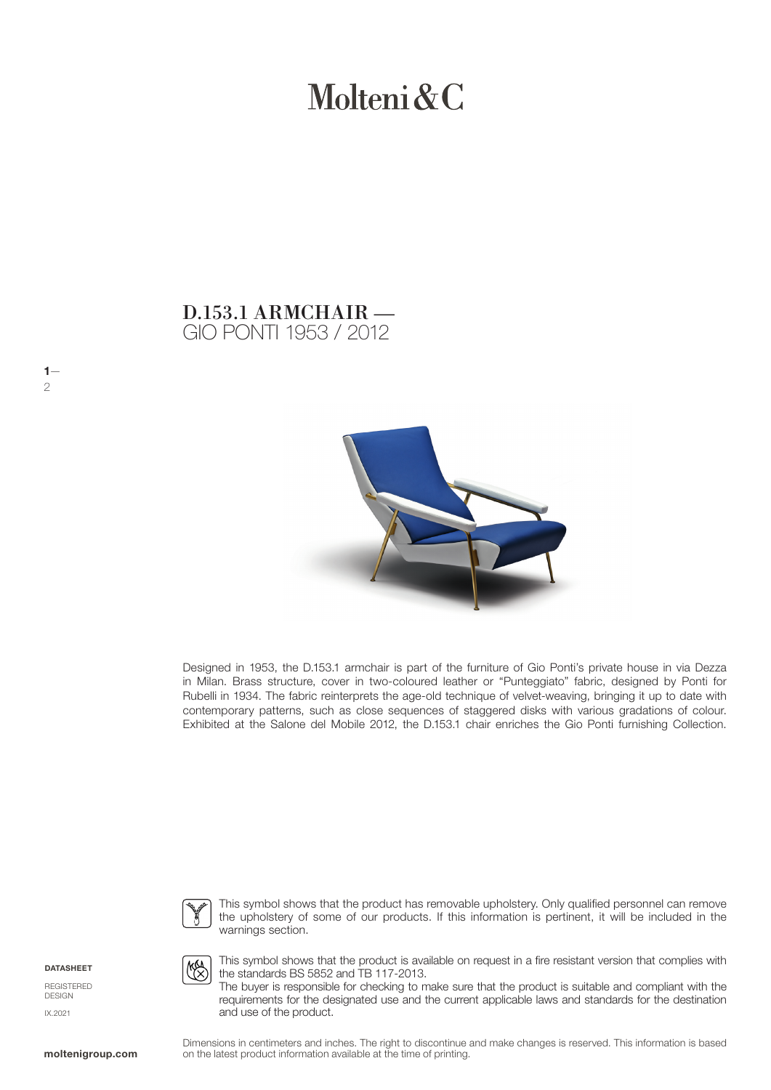# Molteni & C

## GIO PONTI 1953 / 2012 D.153.1 ARMCHAIR —



Designed in 1953, the D.153.1 armchair is part of the furniture of Gio Ponti's private house in via Dezza in Milan. Brass structure, cover in two-coloured leather or "Punteggiato" fabric, designed by Ponti for Rubelli in 1934. The fabric reinterprets the age-old technique of velvet-weaving, bringing it up to date with contemporary patterns, such as close sequences of staggered disks with various gradations of colour. Exhibited at the Salone del Mobile 2012, the D.153.1 chair enriches the Gio Ponti furnishing Collection.



This symbol shows that the product has removable upholstery. Only qualified personnel can remove the upholstery of some of our products. If this information is pertinent, it will be included in the warnings section.

**DATASHEET** 

 $1-$ 

2

REGISTERED **DESIGN** IX.2021

(XX)

This symbol shows that the product is available on request in a fire resistant version that complies with the standards BS 5852 and TB 117-2013.

The buyer is responsible for checking to make sure that the product is suitable and compliant with the requirements for the designated use and the current applicable laws and standards for the destination and use of the product.

Dimensions in centimeters and inches. The right to discontinue and make changes is reserved. This information is based **moltenigroup.com** on the latest product information available at the time of printing.